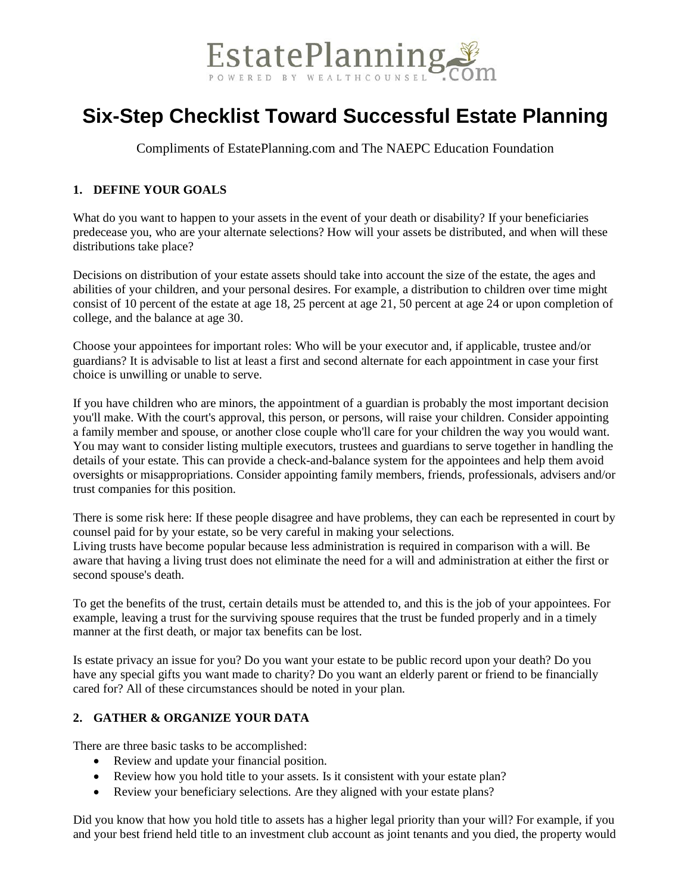

# **Six-Step Checklist Toward Successful Estate Planning**

Compliments of EstatePlanning.com and The NAEPC Education Foundation

# **1. DEFINE YOUR GOALS**

What do you want to happen to your assets in the event of your death or disability? If your beneficiaries predecease you, who are your alternate selections? How will your assets be distributed, and when will these distributions take place?

Decisions on distribution of your estate assets should take into account the size of the estate, the ages and abilities of your children, and your personal desires. For example, a distribution to children over time might consist of 10 percent of the estate at age 18, 25 percent at age 21, 50 percent at age 24 or upon completion of college, and the balance at age 30.

Choose your appointees for important roles: Who will be your executor and, if applicable, trustee and/or guardians? It is advisable to list at least a first and second alternate for each appointment in case your first choice is unwilling or unable to serve.

If you have children who are minors, the appointment of a guardian is probably the most important decision you'll make. With the court's approval, this person, or persons, will raise your children. Consider appointing a family member and spouse, or another close couple who'll care for your children the way you would want. You may want to consider listing multiple executors, trustees and guardians to serve together in handling the details of your estate. This can provide a check-and-balance system for the appointees and help them avoid oversights or misappropriations. Consider appointing family members, friends, professionals, advisers and/or trust companies for this position.

There is some risk here: If these people disagree and have problems, they can each be represented in court by counsel paid for by your estate, so be very careful in making your selections.

Living trusts have become popular because less administration is required in comparison with a will. Be aware that having a living trust does not eliminate the need for a will and administration at either the first or second spouse's death.

To get the benefits of the trust, certain details must be attended to, and this is the job of your appointees. For example, leaving a trust for the surviving spouse requires that the trust be funded properly and in a timely manner at the first death, or major tax benefits can be lost.

Is estate privacy an issue for you? Do you want your estate to be public record upon your death? Do you have any special gifts you want made to charity? Do you want an elderly parent or friend to be financially cared for? All of these circumstances should be noted in your plan.

# **2. GATHER & ORGANIZE YOUR DATA**

There are three basic tasks to be accomplished:

- Review and update your financial position.
- Review how you hold title to your assets. Is it consistent with your estate plan?
- Review your beneficiary selections. Are they aligned with your estate plans?

Did you know that how you hold title to assets has a higher legal priority than your will? For example, if you and your best friend held title to an investment club account as joint tenants and you died, the property would